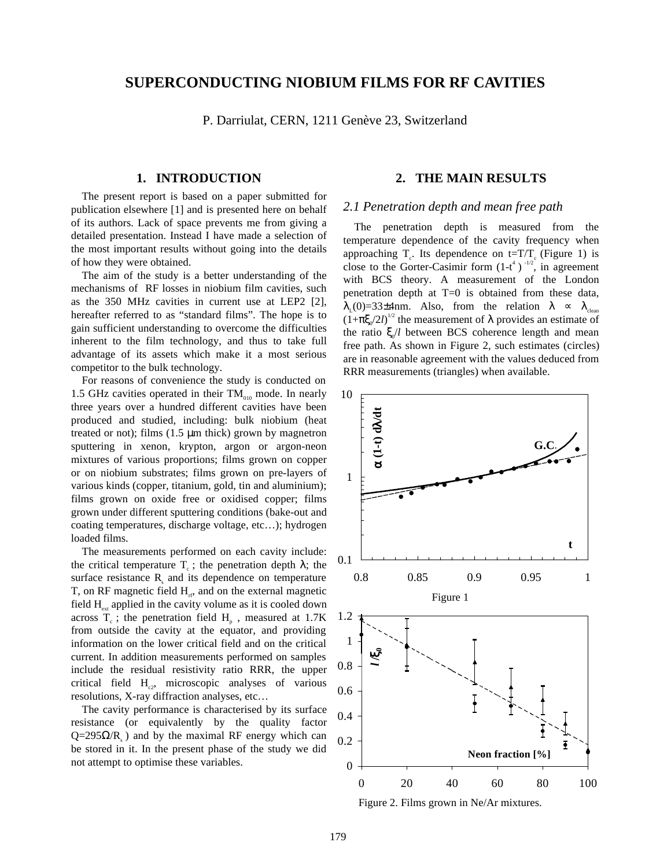# **SUPERCONDUCTING NIOBIUM FILMS FOR RF CAVITIES**

P. Darriulat, CERN, 1211 Genève 23, Switzerland

## **1. INTRODUCTION**

The present report is based on a paper submitted for publication elsewhere [1] and is presented here on behalf of its authors. Lack of space prevents me from giving a detailed presentation. Instead I have made a selection of the most important results without going into the details of how they were obtained.

The aim of the study is a better understanding of the mechanisms of RF losses in niobium film cavities, such as the 350 MHz cavities in current use at LEP2 [2], hereafter referred to as "standard films". The hope is to gain sufficient understanding to overcome the difficulties inherent to the film technology, and thus to take full advantage of its assets which make it a most serious competitor to the bulk technology.

For reasons of convenience the study is conducted on 1.5 GHz cavities operated in their  $TM_{010}$  mode. In nearly three years over a hundred different cavities have been produced and studied, including: bulk niobium (heat treated or not); films  $(1.5 \mu m)$  thick) grown by magnetron sputtering in xenon, krypton, argon or argon-neon mixtures of various proportions; films grown on copper or on niobium substrates; films grown on pre-layers of various kinds (copper, titanium, gold, tin and aluminium); films grown on oxide free or oxidised copper; films grown under different sputtering conditions (bake-out and coating temperatures, discharge voltage, etc…); hydrogen loaded films.

The measurements performed on each cavity include: the critical temperature  $T_c$ ; the penetration depth  $\lambda$ ; the surface resistance  $R_s$  and its dependence on temperature T, on RF magnetic field  $H_{\text{rf}}$ , and on the external magnetic field  $H_{\alpha}$  applied in the cavity volume as it is cooled down across  $T_c$ ; the penetration field  $H_p$ , measured at 1.7K from outside the cavity at the equator, and providing information on the lower critical field and on the critical current. In addition measurements performed on samples include the residual resistivity ratio RRR, the upper critical field  $H_{\alpha}$ , microscopic analyses of various resolutions, X-ray diffraction analyses, etc…

The cavity performance is characterised by its surface resistance (or equivalently by the quality factor  $Q=295\Omega/R_s$ ) and by the maximal RF energy which can be stored in it. In the present phase of the study we did not attempt to optimise these variables.

## **2. THE MAIN RESULTS**

## *2.1 Penetration depth and mean free path*

The penetration depth is measured from the temperature dependence of the cavity frequency when approaching  $T_c$ . Its dependence on t=T/T<sub>c</sub> (Figure 1) is close to the Gorter-Casimir form  $(1-t^4)^{-1/2}$ , in agreement with BCS theory. A measurement of the London penetration depth at  $T=0$  is obtained from these data,  $\lambda_{\rm r}(0)=33\pm4$ nm. Also, from the relation  $\lambda \propto \lambda_{\rm clean}$  $(1+\pi \xi_0/2l)^{1/2}$  the measurement of  $\lambda$  provides an estimate of the ratio ξ<sub>0</sub>/*l* between BCS coherence length and mean free path. As shown in Figure 2, such estimates (circles) are in reasonable agreement with the values deduced from RRR measurements (triangles) when available.



Figure 2. Films grown in Ne/Ar mixtures.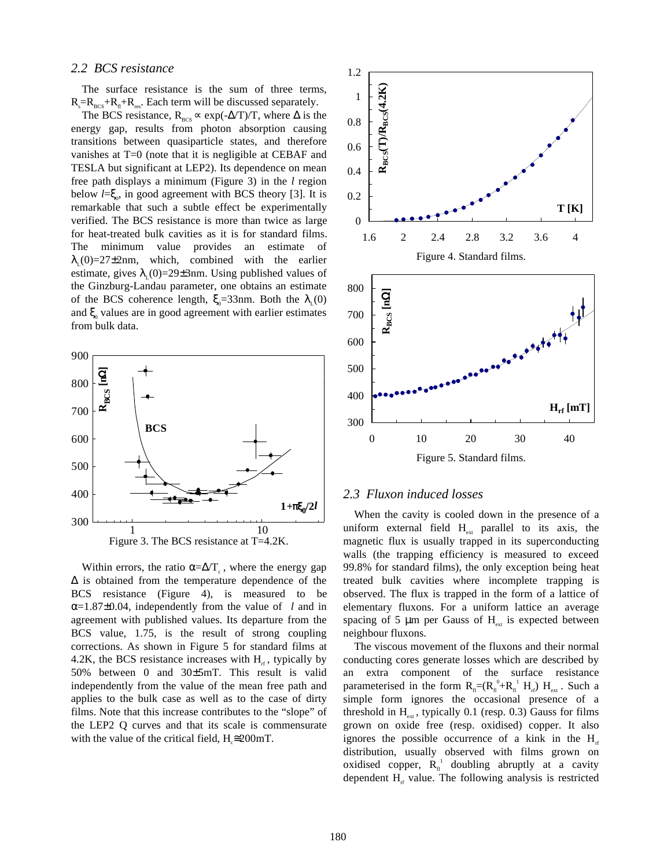#### *2.2 BCS resistance*

The surface resistance is the sum of three terms,  $R_s = R_{\text{BCS}} + R_{\text{fl}} + R_{\text{res}}$ . Each term will be discussed separately.

The BCS resistance,  $R_{\text{BCS}} \propto \exp(-\Delta/T)/T$ , where  $\Delta$  is the energy gap, results from photon absorption causing transitions between quasiparticle states, and therefore vanishes at T=0 (note that it is negligible at CEBAF and TESLA but significant at LEP2). Its dependence on mean free path displays a minimum (Figure 3) in the *l* region below  $l = \xi_0$ , in good agreement with BCS theory [3]. It is remarkable that such a subtle effect be experimentally verified. The BCS resistance is more than twice as large for heat-treated bulk cavities as it is for standard films. The minimum value provides an estimate of  $\lambda_{\rm r}(0)=27\pm2$ nm, which, combined with the earlier estimate, gives  $\lambda_1(0)=29\pm 3$ nm. Using published values of the Ginzburg-Landau parameter, one obtains an estimate of the BCS coherence length,  $\xi_0 = 33$ nm. Both the  $\lambda_1(0)$ and  $\xi$ <sub>0</sub> values are in good agreement with earlier estimates from bulk data.



Within errors, the ratio  $\alpha = \Delta/T_c$ , where the energy gap ∆ is obtained from the temperature dependence of the BCS resistance (Figure 4), is measured to be α=1.87±0.04, independently from the value of *l* and in agreement with published values. Its departure from the BCS value, 1.75, is the result of strong coupling corrections. As shown in Figure 5 for standard films at 4.2K, the BCS resistance increases with  $H<sub>r</sub>$ , typically by 50% between 0 and 30±5mT. This result is valid independently from the value of the mean free path and applies to the bulk case as well as to the case of dirty films. Note that this increase contributes to the "slope" of the LEP2 Q curves and that its scale is commensurate with the value of the critical field,  $H_{\epsilon} \approx 200$  mT.



## *2.3 Fluxon induced losses*

When the cavity is cooled down in the presence of a uniform external field  $H_{ext}$  parallel to its axis, the magnetic flux is usually trapped in its superconducting walls (the trapping efficiency is measured to exceed 99.8% for standard films), the only exception being heat treated bulk cavities where incomplete trapping is observed. The flux is trapped in the form of a lattice of elementary fluxons. For a uniform lattice an average spacing of 5  $\mu$ m per Gauss of H<sub>ext</sub> is expected between neighbour fluxons.

The viscous movement of the fluxons and their normal conducting cores generate losses which are described by an extra component of the surface resistance parameterised in the form  $R_{n}=(R_{n}^{0}+R_{n}^{1}H_{rf}) H_{ext}$ . Such a simple form ignores the occasional presence of a threshold in  $H_{ext}$ , typically 0.1 (resp. 0.3) Gauss for films grown on oxide free (resp. oxidised) copper. It also ignores the possible occurrence of a kink in the  $H_{rf}$ distribution, usually observed with films grown on oxidised copper,  $R_{n}^{\perp}$  doubling abruptly at a cavity dependent  $H<sub>rf</sub>$  value. The following analysis is restricted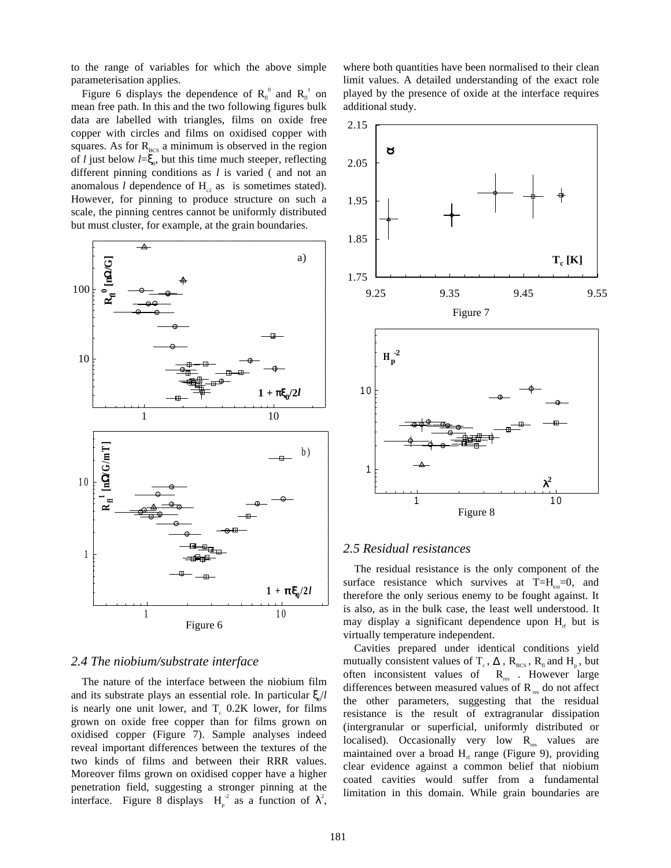to the range of variables for which the above simple parameterisation applies.

Figure 6 displays the dependence of  $R<sub>n</sub><sup>0</sup>$  and  $R<sub>n</sub><sup>1</sup>$  on mean free path. In this and the two following figures bulk data are labelled with triangles, films on oxide free copper with circles and films on oxidised copper with squares. As for  $R_{BCS}$  a minimum is observed in the region of *l* just below  $l = \xi_0$ , but this time much steeper, reflecting different pinning conditions as *l* is varied ( and not an anomalous *l* dependence of  $H_{c2}$  as is sometimes stated). However, for pinning to produce structure on such a scale, the pinning centres cannot be uniformly distributed but must cluster, for example, at the grain boundaries.



#### *2.4 The niobium/substrate interface*

The nature of the interface between the niobium film and its substrate plays an essential role. In particular  $\xi/d$ is nearly one unit lower, and  $T_c$  0.2K lower, for films grown on oxide free copper than for films grown on oxidised copper (Figure 7). Sample analyses indeed reveal important differences between the textures of the two kinds of films and between their RRR values. Moreover films grown on oxidised copper have a higher penetration field, suggesting a stronger pinning at the interface. Figure 8 displays  $H_p^2$  as a function of  $\lambda^2$ ,

where both quantities have been normalised to their clean limit values. A detailed understanding of the exact role played by the presence of oxide at the interface requires additional study.



#### *2.5 Residual resistances*

The residual resistance is the only component of the surface resistance which survives at  $T=H_{ext}=0$ , and therefore the only serious enemy to be fought against. It is also, as in the bulk case, the least well understood. It may display a significant dependence upon  $H<sub>r</sub>$  but is virtually temperature independent.

Cavities prepared under identical conditions yield mutually consistent values of T<sub>c</sub>,  $\Delta$ , R<sub>BCS</sub>, R<sub>n</sub> and H<sub>p</sub>, but often inconsistent values of  $R_{res}$ . However large differences between measured values of  $R_{res}$  do not affect the other parameters, suggesting that the residual resistance is the result of extragranular dissipation (intergranular or superficial, uniformly distributed or localised). Occasionally very low  $R_{res}$  values are maintained over a broad  $H<sub>rf</sub>$  range (Figure 9), providing clear evidence against a common belief that niobium coated cavities would suffer from a fundamental limitation in this domain. While grain boundaries are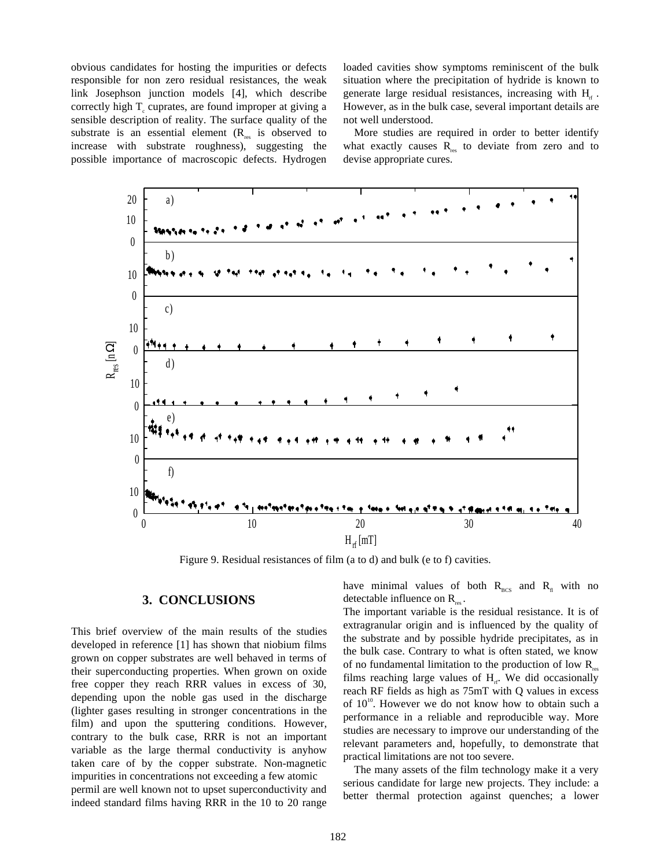obvious candidates for hosting the impurities or defects responsible for non zero residual resistances, the weak link Josephson junction models [4], which describe correctly high  $T_c$  cuprates, are found improper at giving a sensible description of reality. The surface quality of the substrate is an essential element  $(R_{res}$  is observed to increase with substrate roughness), suggesting the possible importance of macroscopic defects. Hydrogen loaded cavities show symptoms reminiscent of the bulk situation where the precipitation of hydride is known to generate large residual resistances, increasing with  $H_{\text{H}}$ . However, as in the bulk case, several important details are not well understood.

More studies are required in order to better identify what exactly causes  $R_{\text{res}}$  to deviate from zero and to devise appropriate cures.



Figure 9. Residual resistances of film (a to d) and bulk (e to f) cavities.

## **3. CONCLUSIONS**

This brief overview of the main results of the studies developed in reference [1] has shown that niobium films grown on copper substrates are well behaved in terms of their superconducting properties. When grown on oxide free copper they reach RRR values in excess of 30, depending upon the noble gas used in the discharge (lighter gases resulting in stronger concentrations in the film) and upon the sputtering conditions. However, contrary to the bulk case, RRR is not an important variable as the large thermal conductivity is anyhow taken care of by the copper substrate. Non-magnetic impurities in concentrations not exceeding a few atomic permil are well known not to upset superconductivity and indeed standard films having RRR in the 10 to 20 range

have minimal values of both  $R_{BCS}$  and  $R_{fl}$  with no detectable influence on  $R_{res}$ .

The important variable is the residual resistance. It is of extragranular origin and is influenced by the quality of the substrate and by possible hydride precipitates, as in the bulk case. Contrary to what is often stated, we know of no fundamental limitation to the production of low  $R_{\infty}$ films reaching large values of  $H<sub>rf</sub>$ . We did occasionally reach RF fields as high as 75mT with Q values in excess of  $10^{10}$ . However we do not know how to obtain such a performance in a reliable and reproducible way. More studies are necessary to improve our understanding of the relevant parameters and, hopefully, to demonstrate that practical limitations are not too severe.

The many assets of the film technology make it a very serious candidate for large new projects. They include: a better thermal protection against quenches; a lower